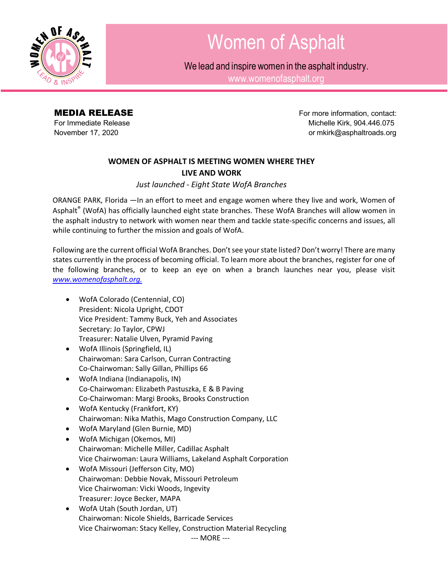

## Women of Asphalt

We lead and inspire women in the asphalt industry.

[www.womenofasphalt.org](http://www.womenofasphalt.org/)

**MEDIA RELEASE For more information, contact:** For Immediate Release **Michelle Kirk, 904.446.075** November 17, 2020 **but a struck of the control of the control of material control or [mkirk@asphaltroads.org](mailto:mkirk@asphaltroads.org)** 

## **WOMEN OF ASPHALT IS MEETING WOMEN WHERE THEY LIVE AND WORK**

*Just launched - Eight State WofA Branches*

ORANGE PARK, Florida —In an effort to meet and engage women where they live and work, Women of Asphalt® (WofA) has officially launched eight state branches. These WofA Branches will allow women in the asphalt industry to network with women near them and tackle state-specific concerns and issues, all while continuing to further the mission and goals of WofA.

Following are the current official WofA Branches. Don't see your state listed? Don't worry! There are many states currently in the process of becoming official. To learn more about the branches, register for one of the following branches, or to keep an eye on when a branch launches near you, please visit *www.womenofasphalt.org.*

- WofA Colorado (Centennial, CO) President: Nicola Upright, CDOT Vice President: Tammy Buck, Yeh and Associates Secretary: Jo Taylor, CPWJ Treasurer: Natalie Ulven, Pyramid Paving
- WofA Illinois (Springfield, IL) Chairwoman: Sara Carlson, Curran Contracting Co-Chairwoman: Sally Gillan, Phillips 66
- WofA Indiana (Indianapolis, IN) Co-Chairwoman: Elizabeth Pastuszka, E & B Paving Co-Chairwoman: Margi Brooks, Brooks Construction
- WofA Kentucky (Frankfort, KY) Chairwoman: Nika Mathis, Mago Construction Company, LLC
- WofA Maryland (Glen Burnie, MD)
- WofA Michigan (Okemos, MI) Chairwoman: Michelle Miller, Cadillac Asphalt Vice Chairwoman: Laura Williams, Lakeland Asphalt Corporation
- WofA Missouri (Jefferson City, MO) Chairwoman: Debbie Novak, Missouri Petroleum Vice Chairwoman: Vicki Woods, Ingevity Treasurer: Joyce Becker, MAPA
- WofA Utah (South Jordan, UT) Chairwoman: Nicole Shields, Barricade Services Vice Chairwoman: Stacy Kelley, Construction Material Recycling